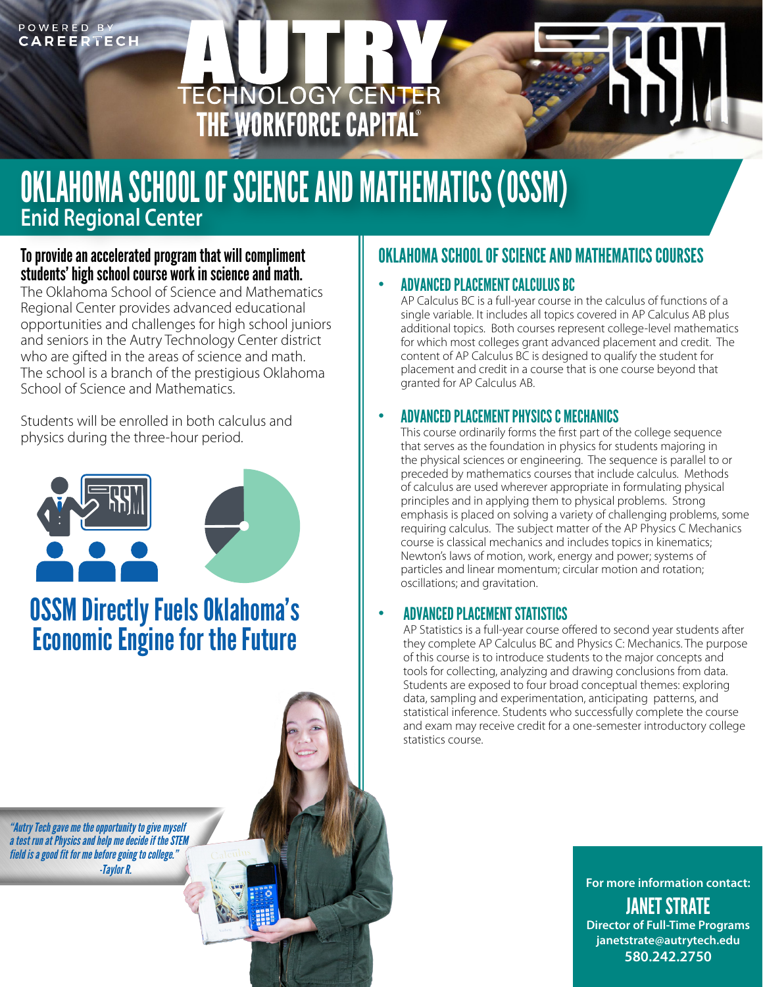# POWERED BY<br>CAREERTECH

# ECHNOLOGY CENTER<br>THE WORKFORCE CAPITAL

# OKLAHOMA SCHOOL OF SCIENCE AND MATHEMATICS (OSSM) **Enid Regional Center**

#### To provide an accelerated program that will compliment students' high school course work in science and math.

The Oklahoma School of Science and Mathematics Regional Center provides advanced educational opportunities and challenges for high school juniors and seniors in the Autry Technology Center district who are gifted in the areas of science and math. The school is a branch of the prestigious Oklahoma School of Science and Mathematics.

Students will be enrolled in both calculus and physics during the three-hour period.



# OSSM Directly Fuels Oklahoma's Economic Engine for the Future

*"Autry Tech gave me the opportunity to give myself a test run at Physics and help me decide if the STEM field is a good fit for me before going to college." -Taylor R.*

### OKLAHOMA SCHOOL OF SCIENCE AND MATHEMATICS COURSES

#### • ADVANCED PLACEMENT CALCULUS BC

AP Calculus BC is a full-year course in the calculus of functions of a single variable. It includes all topics covered in AP Calculus AB plus additional topics. Both courses represent college-level mathematics for which most colleges grant advanced placement and credit. The content of AP Calculus BC is designed to qualify the student for placement and credit in a course that is one course beyond that granted for AP Calculus AB.

#### • ADVANCED PLACEMENT PHYSICS C MECHANICS

This course ordinarily forms the first part of the college sequence that serves as the foundation in physics for students majoring in the physical sciences or engineering. The sequence is parallel to or preceded by mathematics courses that include calculus. Methods of calculus are used wherever appropriate in formulating physical principles and in applying them to physical problems. Strong emphasis is placed on solving a variety of challenging problems, some requiring calculus. The subject matter of the AP Physics C Mechanics course is classical mechanics and includes topics in kinematics; Newton's laws of motion, work, energy and power; systems of particles and linear momentum; circular motion and rotation; oscillations; and gravitation.

#### • ADVANCED PLACEMENT STATISTICS

AP Statistics is a full-year course offered to second year students after they complete AP Calculus BC and Physics C: Mechanics. The purpose of this course is to introduce students to the major concepts and tools for collecting, analyzing and drawing conclusions from data. Students are exposed to four broad conceptual themes: exploring data, sampling and experimentation, anticipating patterns, and statistical inference. Students who successfully complete the course and exam may receive credit for a one-semester introductory college statistics course.

> **For more information contact:** JANET STRATE **Director of Full-Time Programs janetstrate@autrytech.edu**

> > **580.242.2750**